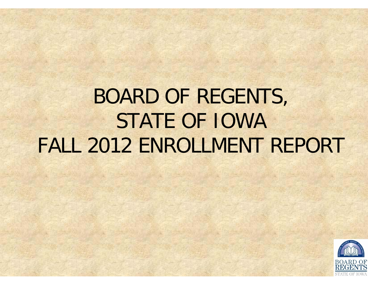## BOARD OF REGENTS, STATE OF IOWAFALL 2012 ENROLLMENT REPORT

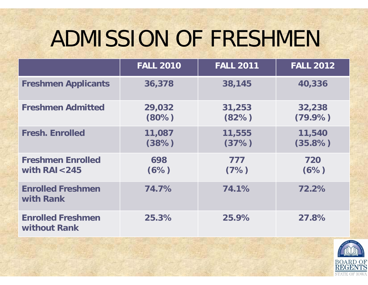# ADMISSION OF FRESHMEN

|                                              | <b>FALL 2010</b>   | <b>FALL 2011</b> | <b>FALL 2012</b>     |
|----------------------------------------------|--------------------|------------------|----------------------|
| <b>Freshmen Applicants</b>                   | 36,378             | 38,145           | 40,336               |
| <b>Freshmen Admitted</b>                     | 29,032<br>$(80\%)$ | 31,253<br>(82%)  | 32,238<br>$(79.9\%)$ |
| <b>Fresh. Enrolled</b>                       | 11,087<br>(38%)    | 11,555<br>(37%)  | 11,540<br>$(35.8\%)$ |
| <b>Freshmen Enrolled</b><br>with $RAI < 245$ | 698<br>(6%)        | 777<br>(7%)      | 720<br>(6%)          |
| <b>Enrolled Freshmen</b><br>with Rank        | 74.7%              | 74.1%            | 72.2%                |
| <b>Enrolled Freshmen</b><br>without Rank     | 25.3%              | 25.9%            | 27.8%                |

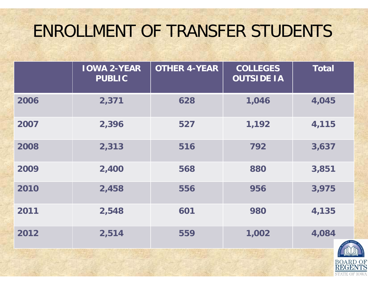### ENROLLMENT OF TRANSFER STUDENTS

|      | <b>IOWA 2-YEAR</b><br><b>PUBLIC</b> | <b>OTHER 4-YEAR</b> | <b>COLLEGES</b><br><b>OUTSIDE IA</b> | <b>Total</b> |
|------|-------------------------------------|---------------------|--------------------------------------|--------------|
| 2006 | 2,371                               | 628                 | 1,046                                | 4,045        |
| 2007 | 2,396                               | 527                 | 1,192                                | 4,115        |
| 2008 | 2,313                               | 516                 | 792                                  | 3,637        |
| 2009 | 2,400                               | 568                 | 880                                  | 3,851        |
| 2010 | 2,458                               | 556                 | 956                                  | 3,975        |
| 2011 | 2,548                               | 601                 | 980                                  | 4,135        |
| 2012 | 2,514                               | 559                 | 1,002                                | 4,084        |

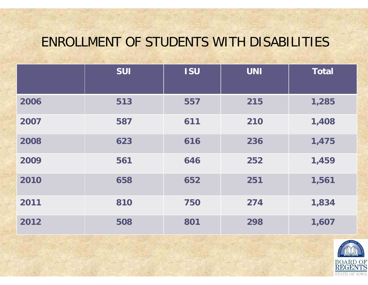#### ENROLLMENT OF STUDENTS WITH DISABILITIES

|      | <b>SUI</b> | <b>ISU</b> | <b>UNI</b> | <b>Total</b> |
|------|------------|------------|------------|--------------|
| 2006 | 513        | 557        | 215        | 1,285        |
| 2007 | 587        | 611        | 210        | 1,408        |
| 2008 | 623        | 616        | 236        | 1,475        |
| 2009 | 561        | 646        | 252        | 1,459        |
| 2010 | 658        | 652        | 251        | 1,561        |
| 2011 | 810        | 750        | 274        | 1,834        |
| 2012 | 508        | 801        | 298        | 1,607        |

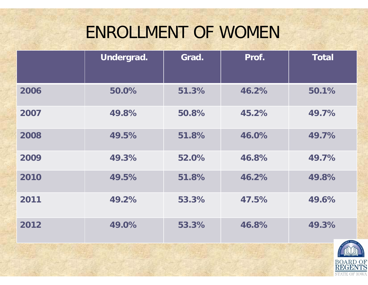## ENROLLMENT OF WOMEN

|      | Undergrad. | Grad. | Prof. | <b>Total</b>          |
|------|------------|-------|-------|-----------------------|
| 2006 | 50.0%      | 51.3% | 46.2% | 50.1%                 |
| 2007 | 49.8%      | 50.8% | 45.2% | 49.7%                 |
| 2008 | 49.5%      | 51.8% | 46.0% | 49.7%                 |
| 2009 | 49.3%      | 52.0% | 46.8% | 49.7%                 |
| 2010 | 49.5%      | 51.8% | 46.2% | 49.8%                 |
| 2011 | 49.2%      | 53.3% | 47.5% | 49.6%                 |
| 2012 | 49.0%      | 53.3% | 46.8% | 49.3%<br>EARCH SERVIC |

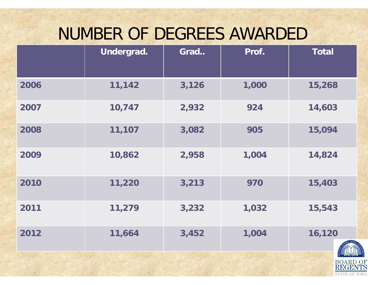### NUMBER OF DEGREES AWARDED

|      | Undergrad. | Grad  | Prof. | <b>Total</b> |
|------|------------|-------|-------|--------------|
| 2006 | 11,142     | 3,126 | 1,000 | 15,268       |
| 2007 | 10,747     | 2,932 | 924   | 14,603       |
| 2008 | 11,107     | 3,082 | 905   | 15,094       |
| 2009 | 10,862     | 2,958 | 1,004 | 14,824       |
| 2010 | 11,220     | 3,213 | 970   | 15,403       |
| 2011 | 11,279     | 3,232 | 1,032 | 15,543       |
| 2012 | 11,664     | 3,452 | 1,004 | 16,120       |

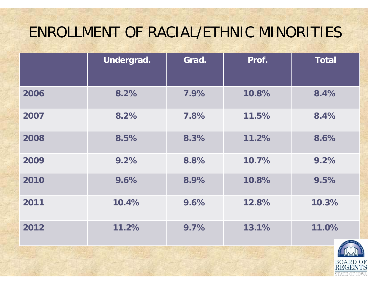### ENROLLMENT OF RACIAL/ETHNIC MINORITIES

|      | Undergrad. | Grad. | Prof. | <b>Total</b> |
|------|------------|-------|-------|--------------|
| 2006 | 8.2%       | 7.9%  | 10.8% | 8.4%         |
| 2007 | 8.2%       | 7.8%  | 11.5% | 8.4%         |
| 2008 | 8.5%       | 8.3%  | 11.2% | 8.6%         |
| 2009 | 9.2%       | 8.8%  | 10.7% | 9.2%         |
| 2010 | 9.6%       | 8.9%  | 10.8% | 9.5%         |
| 2011 | 10.4%      | 9.6%  | 12.8% | 10.3%        |
| 2012 | 11.2%      | 9.7%  | 13.1% | 11.0%        |

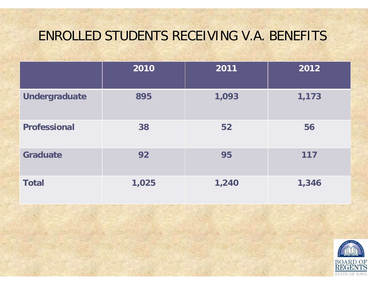#### ENROLLED STUDENTS RECEIVING V.A. BENEFITS

|                      | 2010  | 2011  | 2012  |
|----------------------|-------|-------|-------|
| <b>Undergraduate</b> | 895   | 1,093 | 1,173 |
| <b>Professional</b>  | 38    | 52    | 56    |
| <b>Graduate</b>      | 92    | 95    | 117   |
| <b>Total</b>         | 1,025 | 1,240 | 1,346 |